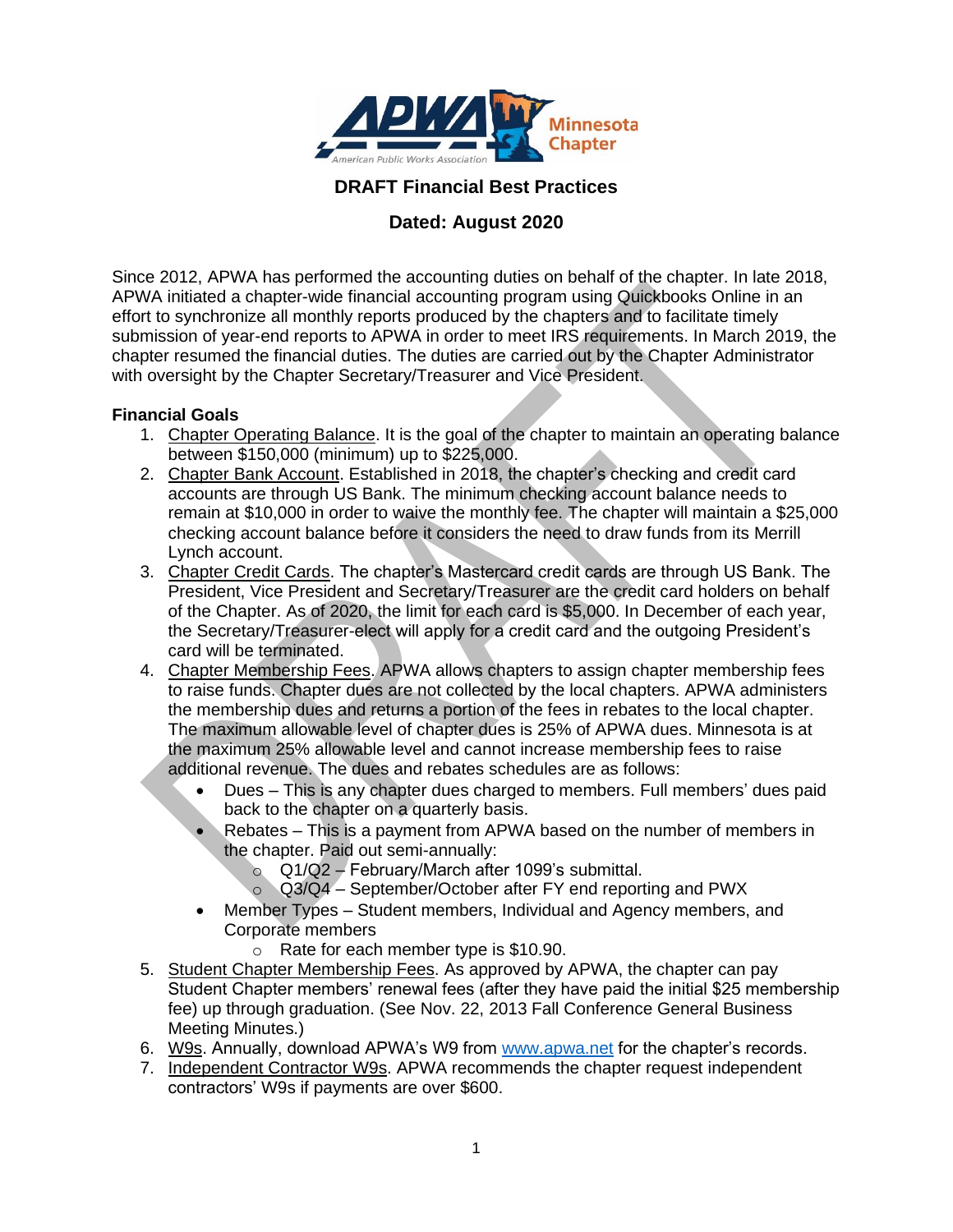

## **DRAFT Financial Best Practices**

# **Dated: August 2020**

Since 2012, APWA has performed the accounting duties on behalf of the chapter. In late 2018, APWA initiated a chapter-wide financial accounting program using Quickbooks Online in an effort to synchronize all monthly reports produced by the chapters and to facilitate timely submission of year-end reports to APWA in order to meet IRS requirements. In March 2019, the chapter resumed the financial duties. The duties are carried out by the Chapter Administrator with oversight by the Chapter Secretary/Treasurer and Vice President.

#### **Financial Goals**

- 1. Chapter Operating Balance. It is the goal of the chapter to maintain an operating balance between \$150,000 (minimum) up to \$225,000.
- 2. Chapter Bank Account. Established in 2018, the chapter's checking and credit card accounts are through US Bank. The minimum checking account balance needs to remain at \$10,000 in order to waive the monthly fee. The chapter will maintain a \$25,000 checking account balance before it considers the need to draw funds from its Merrill Lynch account.
- 3. Chapter Credit Cards. The chapter's Mastercard credit cards are through US Bank. The President, Vice President and Secretary/Treasurer are the credit card holders on behalf of the Chapter. As of 2020, the limit for each card is \$5,000. In December of each year, the Secretary/Treasurer-elect will apply for a credit card and the outgoing President's card will be terminated.
- 4. Chapter Membership Fees. APWA allows chapters to assign chapter membership fees to raise funds. Chapter dues are not collected by the local chapters. APWA administers the membership dues and returns a portion of the fees in rebates to the local chapter. The maximum allowable level of chapter dues is 25% of APWA dues. Minnesota is at the maximum 25% allowable level and cannot increase membership fees to raise additional revenue. The dues and rebates schedules are as follows:
	- Dues This is any chapter dues charged to members. Full members' dues paid back to the chapter on a quarterly basis.
	- Rebates This is a payment from APWA based on the number of members in the chapter. Paid out semi-annually:
		- o Q1/Q2 February/March after 1099's submittal.
		- $\circ$  Q3/Q4 September/October after FY end reporting and PWX
	- Member Types Student members, Individual and Agency members, and Corporate members
		- o Rate for each member type is \$10.90.
- 5. Student Chapter Membership Fees. As approved by APWA, the chapter can pay Student Chapter members' renewal fees (after they have paid the initial \$25 membership fee) up through graduation. (See Nov. 22, 2013 Fall Conference General Business Meeting Minutes.)
- 6. W9s. Annually, download APWA's W9 from [www.apwa.net](http://www.apwa.net/) for the chapter's records.
- 7. Independent Contractor W9s. APWA recommends the chapter request independent contractors' W9s if payments are over \$600.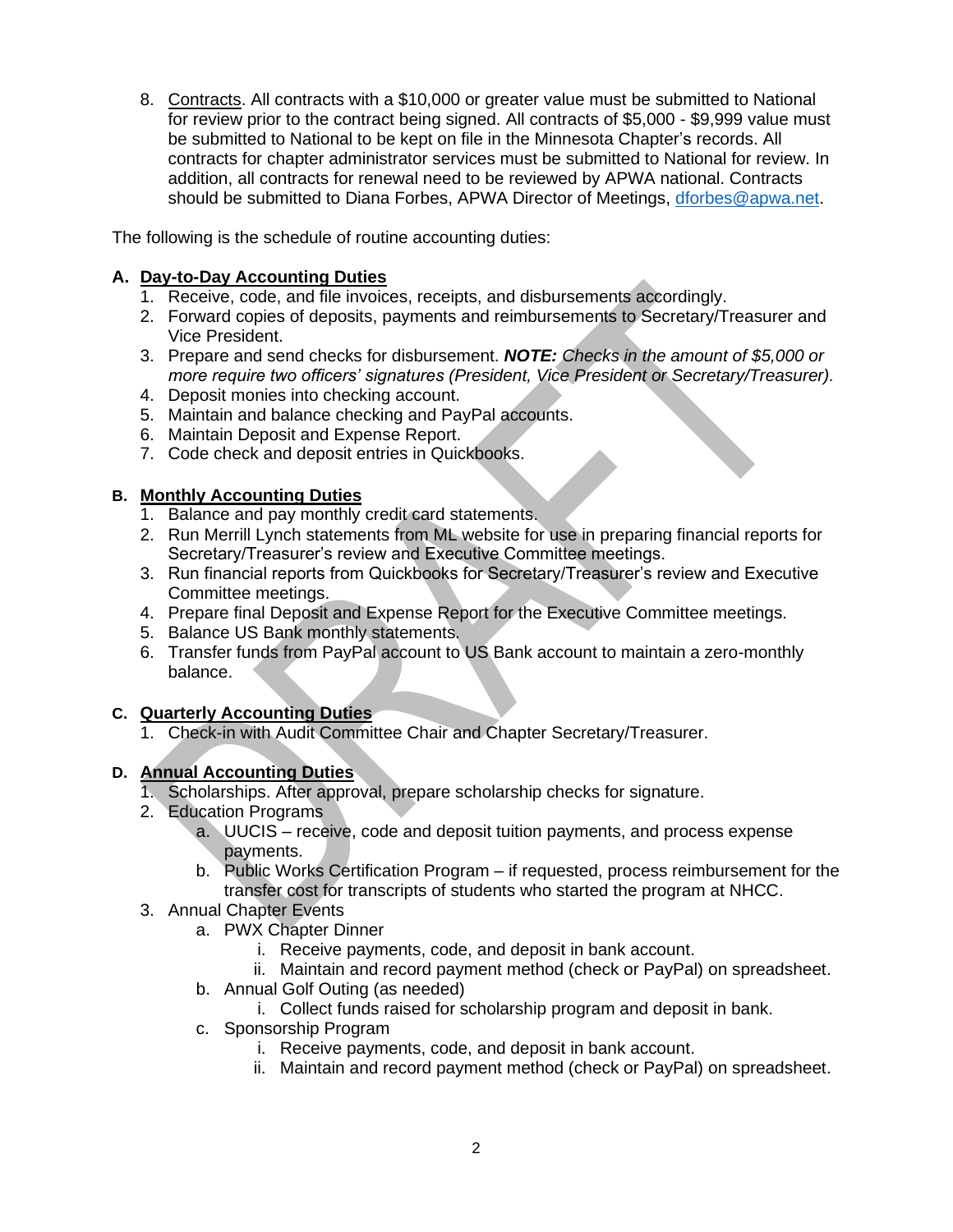8. Contracts. All contracts with a \$10,000 or greater value must be submitted to National for review prior to the contract being signed. All contracts of \$5,000 - \$9,999 value must be submitted to National to be kept on file in the Minnesota Chapter's records. All contracts for chapter administrator services must be submitted to National for review. In addition, all contracts for renewal need to be reviewed by APWA national. Contracts should be submitted to Diana Forbes, APWA Director of Meetings, [dforbes@apwa.net.](mailto:dforbes@apwa.net)

The following is the schedule of routine accounting duties:

### **A. Day-to-Day Accounting Duties**

- 1. Receive, code, and file invoices, receipts, and disbursements accordingly.
- 2. Forward copies of deposits, payments and reimbursements to Secretary/Treasurer and Vice President.
- 3. Prepare and send checks for disbursement. *NOTE: Checks in the amount of \$5,000 or more require two officers' signatures (President, Vice President or Secretary/Treasurer).*
- 4. Deposit monies into checking account.
- 5. Maintain and balance checking and PayPal accounts.
- 6. Maintain Deposit and Expense Report.
- 7. Code check and deposit entries in Quickbooks.

### **B. Monthly Accounting Duties**

- 1. Balance and pay monthly credit card statements.
- 2. Run Merrill Lynch statements from ML website for use in preparing financial reports for Secretary/Treasurer's review and Executive Committee meetings.
- 3. Run financial reports from Quickbooks for Secretary/Treasurer's review and Executive Committee meetings.
- 4. Prepare final Deposit and Expense Report for the Executive Committee meetings.
- 5. Balance US Bank monthly statements.
- 6. Transfer funds from PayPal account to US Bank account to maintain a zero-monthly balance.

#### **C. Quarterly Accounting Duties**

1. Check-in with Audit Committee Chair and Chapter Secretary/Treasurer.

## **D. Annual Accounting Duties**

- 1. Scholarships. After approval, prepare scholarship checks for signature.
- 2. Education Programs
	- a. UUCIS receive, code and deposit tuition payments, and process expense payments.
	- b. Public Works Certification Program if requested, process reimbursement for the transfer cost for transcripts of students who started the program at NHCC.
- 3. Annual Chapter Events
	- a. PWX Chapter Dinner
		- i. Receive payments, code, and deposit in bank account.
		- ii. Maintain and record payment method (check or PayPal) on spreadsheet.
	- b. Annual Golf Outing (as needed)
		- i. Collect funds raised for scholarship program and deposit in bank.
	- c. Sponsorship Program
		- i. Receive payments, code, and deposit in bank account.
		- ii. Maintain and record payment method (check or PayPal) on spreadsheet.